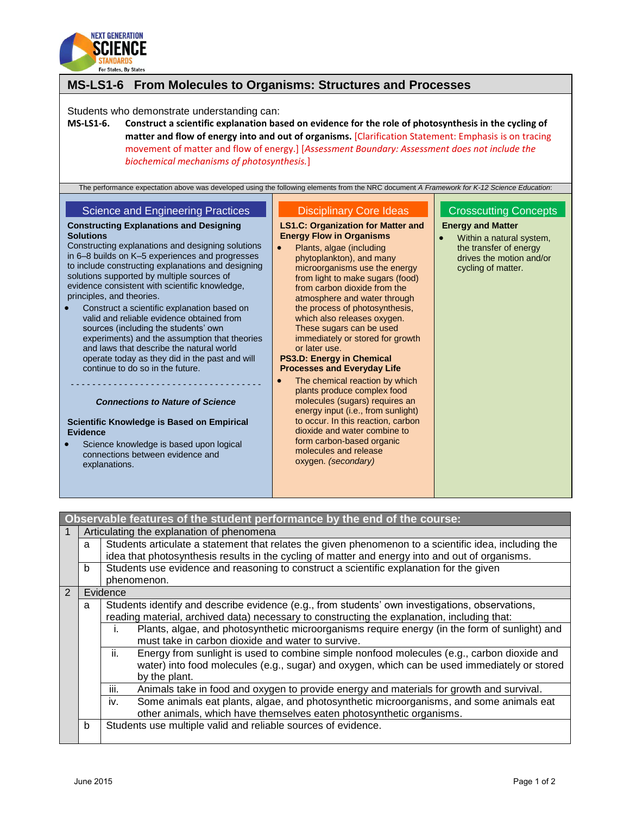

## **MS-LS1-6 From Molecules to Organisms: Structures and Processes**

Students who demonstrate understanding can:

**MS-LS1-6. Construct a scientific explanation based on evidence for the role of photosynthesis in the cycling of matter and flow of energy into and out of organisms.** [Clarification Statement: Emphasis is on tracing movement of matter and flow of energy.] [*Assessment Boundary: Assessment does not include the biochemical mechanisms of photosynthesis.*]

| The performance expectation above was developed using the following elements from the NRC document A Framework for K-12 Science Education:<br><b>Science and Engineering Practices</b><br><b>Constructing Explanations and Designing</b><br><b>Solutions</b><br>Constructing explanations and designing solutions<br>in 6-8 builds on K-5 experiences and progresses<br>to include constructing explanations and designing                       | <b>Disciplinary Core Ideas</b><br><b>LS1.C: Organization for Matter and</b><br><b>Energy Flow in Organisms</b><br>Plants, algae (including<br>phytoplankton), and many<br>microorganisms use the energy                                                                                                                                                        | <b>Crosscutting Concepts</b><br><b>Energy and Matter</b><br>Within a natural system,<br>the transfer of energy<br>drives the motion and/or<br>cycling of matter. |
|--------------------------------------------------------------------------------------------------------------------------------------------------------------------------------------------------------------------------------------------------------------------------------------------------------------------------------------------------------------------------------------------------------------------------------------------------|----------------------------------------------------------------------------------------------------------------------------------------------------------------------------------------------------------------------------------------------------------------------------------------------------------------------------------------------------------------|------------------------------------------------------------------------------------------------------------------------------------------------------------------|
| solutions supported by multiple sources of<br>evidence consistent with scientific knowledge,<br>principles, and theories.<br>Construct a scientific explanation based on<br>valid and reliable evidence obtained from<br>sources (including the students' own<br>experiments) and the assumption that theories<br>and laws that describe the natural world<br>operate today as they did in the past and will<br>continue to do so in the future. | from light to make sugars (food)<br>from carbon dioxide from the<br>atmosphere and water through<br>the process of photosynthesis,<br>which also releases oxygen.<br>These sugars can be used<br>immediately or stored for growth<br>or later use.<br><b>PS3.D: Energy in Chemical</b><br><b>Processes and Everyday Life</b><br>The chemical reaction by which |                                                                                                                                                                  |
| <b>Connections to Nature of Science</b><br>Scientific Knowledge is Based on Empirical<br><b>Evidence</b><br>Science knowledge is based upon logical<br>connections between evidence and<br>explanations.                                                                                                                                                                                                                                         | plants produce complex food<br>molecules (sugars) requires an<br>energy input (i.e., from sunlight)<br>to occur. In this reaction, carbon<br>dioxide and water combine to<br>form carbon-based organic<br>molecules and release<br>oxygen. (secondary)                                                                                                         |                                                                                                                                                                  |

|               | Observable features of the student performance by the end of the course:                     |                                                                                                       |  |  |  |
|---------------|----------------------------------------------------------------------------------------------|-------------------------------------------------------------------------------------------------------|--|--|--|
|               |                                                                                              | Articulating the explanation of phenomena                                                             |  |  |  |
|               | a                                                                                            | Students articulate a statement that relates the given phenomenon to a scientific idea, including the |  |  |  |
|               |                                                                                              | idea that photosynthesis results in the cycling of matter and energy into and out of organisms.       |  |  |  |
|               | Students use evidence and reasoning to construct a scientific explanation for the given<br>b |                                                                                                       |  |  |  |
|               | phenomenon.                                                                                  |                                                                                                       |  |  |  |
| $\mathcal{P}$ |                                                                                              | Evidence                                                                                              |  |  |  |
|               | a                                                                                            | Students identify and describe evidence (e.g., from students' own investigations, observations,       |  |  |  |
|               |                                                                                              | reading material, archived data) necessary to constructing the explanation, including that:           |  |  |  |
|               |                                                                                              | Plants, algae, and photosynthetic microorganisms require energy (in the form of sunlight) and<br>İ.   |  |  |  |
|               |                                                                                              | must take in carbon dioxide and water to survive.                                                     |  |  |  |
|               |                                                                                              | ii.<br>Energy from sunlight is used to combine simple nonfood molecules (e.g., carbon dioxide and     |  |  |  |
|               |                                                                                              | water) into food molecules (e.g., sugar) and oxygen, which can be used immediately or stored          |  |  |  |
|               | by the plant.                                                                                |                                                                                                       |  |  |  |
|               |                                                                                              | Animals take in food and oxygen to provide energy and materials for growth and survival.<br>iii.      |  |  |  |
|               |                                                                                              | Some animals eat plants, algae, and photosynthetic microorganisms, and some animals eat<br>iv.        |  |  |  |
|               |                                                                                              | other animals, which have themselves eaten photosynthetic organisms.                                  |  |  |  |
|               | b                                                                                            | Students use multiple valid and reliable sources of evidence.                                         |  |  |  |
|               |                                                                                              |                                                                                                       |  |  |  |